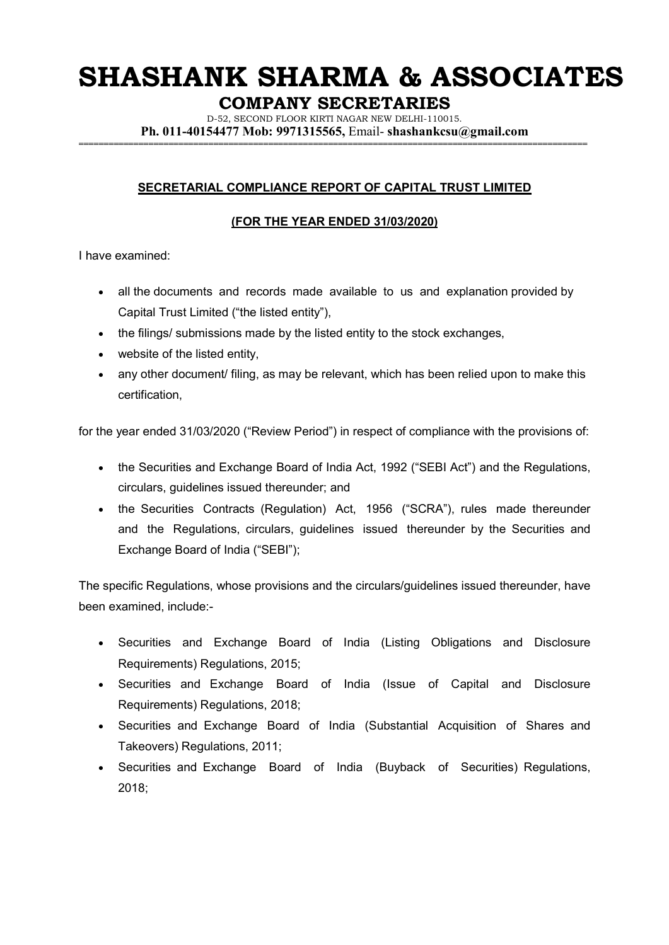## **SHASHANK SHARMA & ASSOCIATES**

**COMPANY SECRETARIES** 

D-52, SECOND FLOOR KIRTI NAGAR NEW DELHI-110015. **Ph. 011-40154477 Mob: 9971315565,** Email- **shashankcsu@gmail.com ======================================================================================================**

### **SECRETARIAL COMPLIANCE REPORT OF CAPITAL TRUST LIMITED**

### **(FOR THE YEAR ENDED 31/03/2020)**

I have examined:

- all the documents and records made available to us and explanation provided by Capital Trust Limited ("the listed entity"),
- the filings/ submissions made by the listed entity to the stock exchanges,
- website of the listed entity,
- any other document/ filing, as may be relevant, which has been relied upon to make this certification,

for the year ended 31/03/2020 ("Review Period") in respect of compliance with the provisions of:

- the Securities and Exchange Board of India Act, 1992 ("SEBI Act") and the Regulations, circulars, guidelines issued thereunder; and
- the Securities Contracts (Regulation) Act, 1956 ("SCRA"), rules made thereunder and the Regulations, circulars, guidelines issued thereunder by the Securities and Exchange Board of India ("SEBI");

The specific Regulations, whose provisions and the circulars/guidelines issued thereunder, have been examined, include:-

- Securities and Exchange Board of India (Listing Obligations and Disclosure Requirements) Regulations, 2015;
- Securities and Exchange Board of India (Issue of Capital and Disclosure Requirements) Regulations, 2018;
- Securities and Exchange Board of India (Substantial Acquisition of Shares and Takeovers) Regulations, 2011;
- Securities and Exchange Board of India (Buyback of Securities) Regulations, 2018;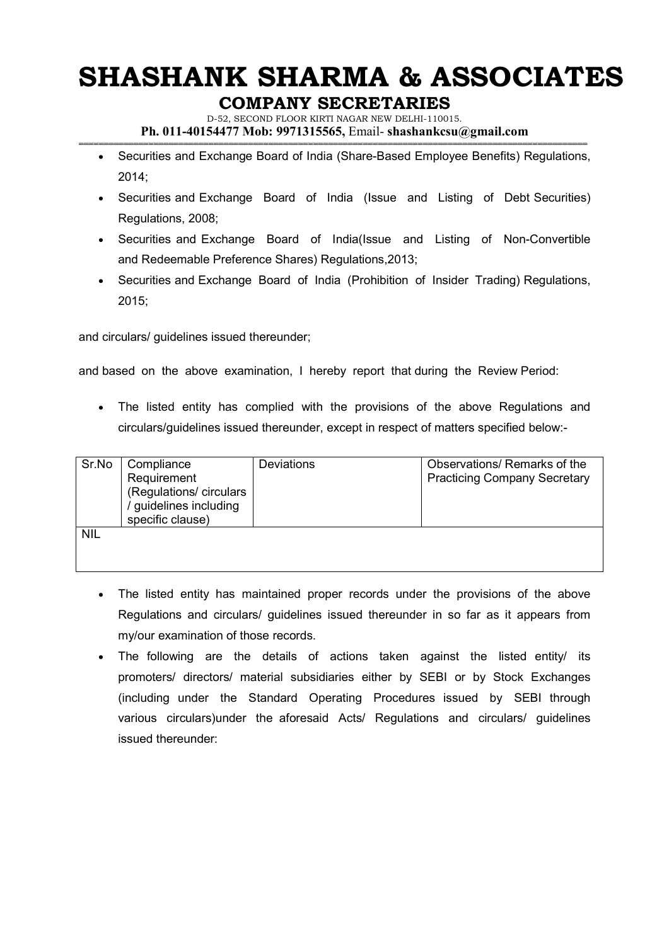# **SHASHANK SHARMA & ASSOCIATES**

### **COMPANY SECRETARIES**

D-52, SECOND FLOOR KIRTI NAGAR NEW DELHI-110015. **Ph. 011-40154477 Mob: 9971315565,** Email- **shashankcsu@gmail.com** 

- **======================================================================================================** • Securities and Exchange Board of India (Share-Based Employee Benefits) Regulations, 2014;
	- Securities and Exchange Board of India (Issue and Listing of Debt Securities) Regulations, 2008;
	- Securities and Exchange Board of India(Issue and Listing of Non-Convertible and Redeemable Preference Shares) Regulations,2013;
	- Securities and Exchange Board of India (Prohibition of Insider Trading) Regulations, 2015;

and circulars/ guidelines issued thereunder;

and based on the above examination, I hereby report that during the Review Period:

• The listed entity has complied with the provisions of the above Regulations and circulars/guidelines issued thereunder, except in respect of matters specified below:-

| Sr.No      | Compliance<br>Requirement<br>(Regulations/ circulars<br>/ guidelines including<br>specific clause) | <b>Deviations</b> | Observations/ Remarks of the<br><b>Practicing Company Secretary</b> |
|------------|----------------------------------------------------------------------------------------------------|-------------------|---------------------------------------------------------------------|
| <b>NIL</b> |                                                                                                    |                   |                                                                     |

- The listed entity has maintained proper records under the provisions of the above Regulations and circulars/ guidelines issued thereunder in so far as it appears from my/our examination of those records.
- The following are the details of actions taken against the listed entity/ its promoters/ directors/ material subsidiaries either by SEBI or by Stock Exchanges (including under the Standard Operating Procedures issued by SEBI through various circulars)under the aforesaid Acts/ Regulations and circulars/ guidelines issued thereunder: